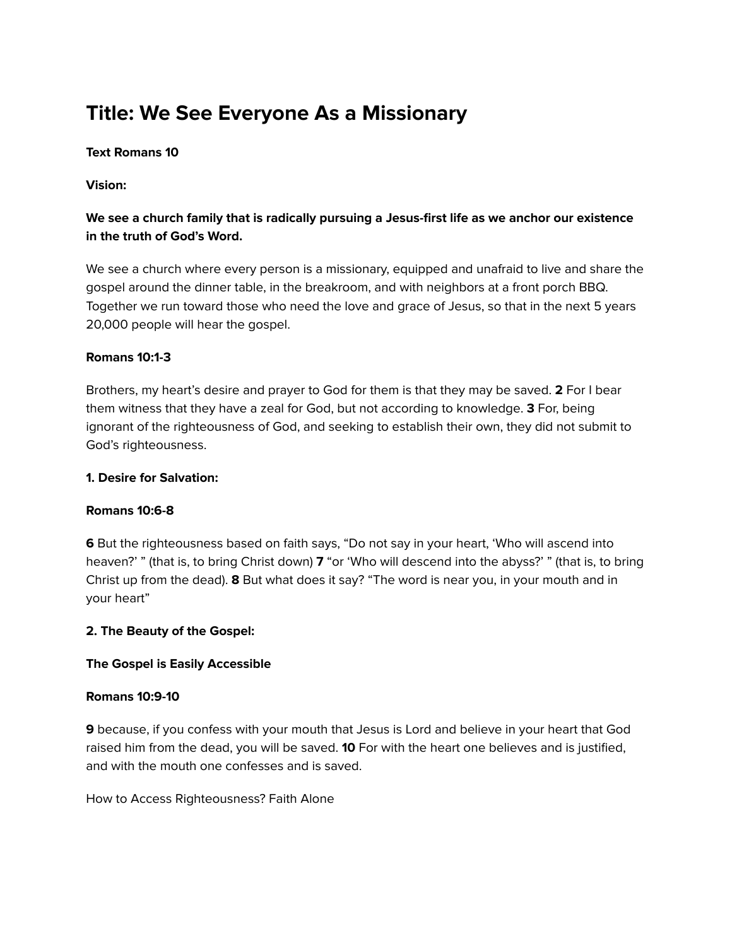# **Title: We See Everyone As a Missionary**

## **Text Romans 10**

## **Vision:**

## **We see a church family that is radically pursuing a Jesus-first life as we anchor our existence in the truth of God's Word.**

We see a church where every person is a missionary, equipped and unafraid to live and share the gospel around the dinner table, in the breakroom, and with neighbors at a front porch BBQ. Together we run toward those who need the love and grace of Jesus, so that in the next 5 years 20,000 people will hear the gospel.

## **Romans 10:1-3**

Brothers, my heart's desire and prayer to God for them is that they may be saved. **2** For I bear them witness that they have a zeal for God, but not according to knowledge. **3** For, being ignorant of the righteousness of God, and seeking to establish their own, they did not submit to God's righteousness.

#### **1. Desire for Salvation:**

## **Romans 10:6-8**

**6** But the righteousness based on faith says, "Do not say in your heart, 'Who will ascend into heaven?' " (that is, to bring Christ down) **7** "or 'Who will descend into the abyss?' " (that is, to bring Christ up from the dead). **8** But what does it say? "The word is near you, in your mouth and in your heart"

## **2. The Beauty of the Gospel:**

## **The Gospel is Easily Accessible**

#### **Romans 10:9-10**

**9** because, if you confess with your mouth that Jesus is Lord and believe in your heart that God raised him from the dead, you will be saved. **10** For with the heart one believes and is justified, and with the mouth one confesses and is saved.

How to Access Righteousness? Faith Alone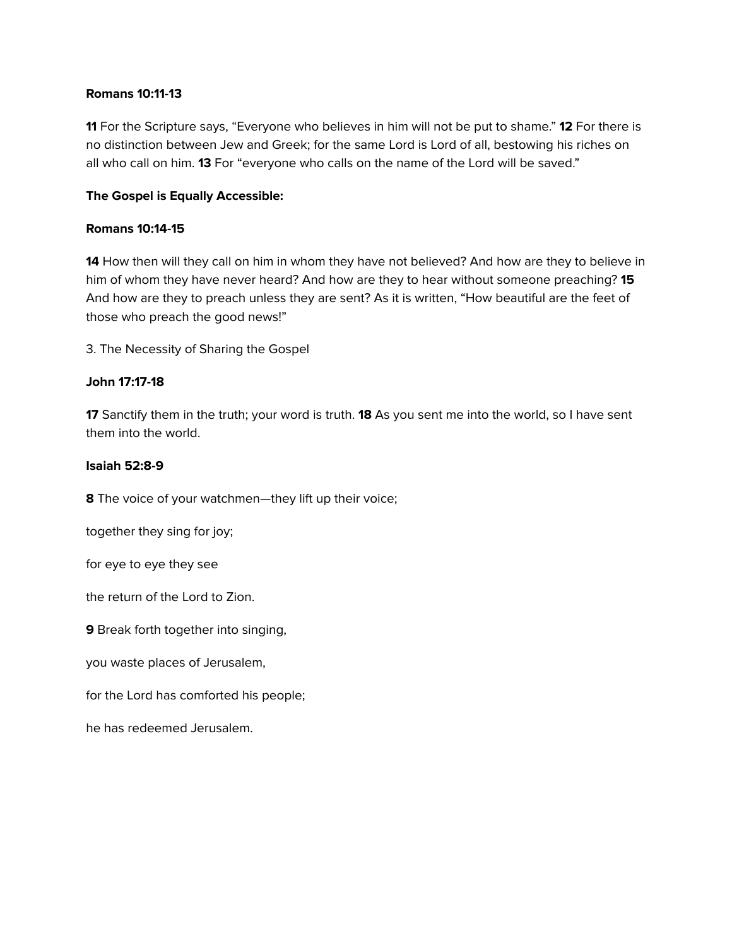#### **Romans 10:11-13**

**11** For the Scripture says, "Everyone who believes in him will not be put to shame." **12** For there is no distinction between Jew and Greek; for the same Lord is Lord of all, bestowing his riches on all who call on him. **13** For "everyone who calls on the name of the Lord will be saved."

## **The Gospel is Equally Accessible:**

#### **Romans 10:14-15**

**14** How then will they call on him in whom they have not believed? And how are they to believe in him of whom they have never heard? And how are they to hear without someone preaching? **15** And how are they to preach unless they are sent? As it is written, "How beautiful are the feet of those who preach the good news!"

3. The Necessity of Sharing the Gospel

## **John 17:17-18**

**17** Sanctify them in the truth; your word is truth. **18** As you sent me into the world, so I have sent them into the world.

#### **Isaiah 52:8-9**

**8** The voice of your watchmen—they lift up their voice;

together they sing for joy;

for eye to eye they see

the return of the Lord to Zion.

**9** Break forth together into singing,

you waste places of Jerusalem,

for the Lord has comforted his people;

he has redeemed Jerusalem.